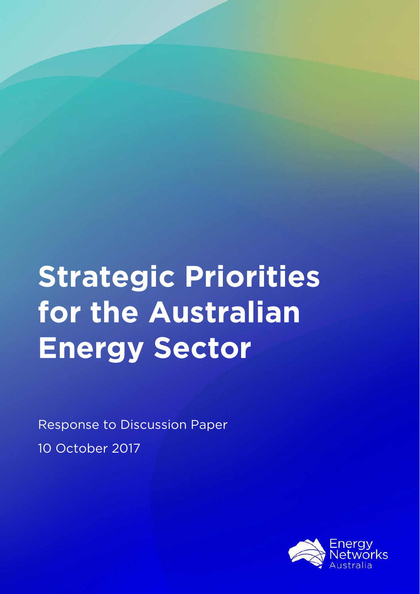# **Strategic Priorities for the Australian Energy Sector**

Response to Discussion Paper 10 October 2017

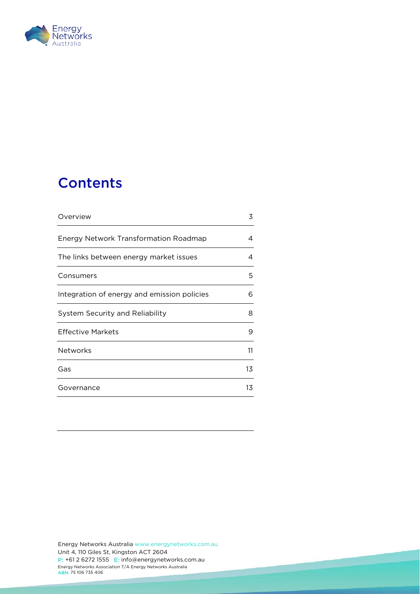

## **Contents**

| Overview                                    | 3  |
|---------------------------------------------|----|
| Energy Network Transformation Roadmap       | 4  |
| The links between energy market issues      | 4  |
| Consumers                                   | 5  |
| Integration of energy and emission policies | 6  |
| <b>System Security and Reliability</b>      | 8  |
| Effective Markets                           | 9  |
| <b>Networks</b>                             | 11 |
| Gas                                         | 13 |
| Governance                                  | 13 |
|                                             |    |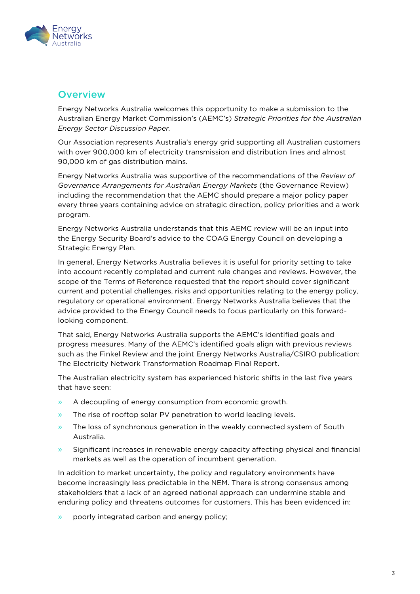

## <span id="page-2-0"></span>**Overview**

Energy Networks Australia welcomes this opportunity to make a submission to the Australian Energy Market Commission's (AEMC's) *Strategic Priorities for the Australian Energy Sector Discussion Paper.*

Our Association represents Australia's energy grid supporting all Australian customers with over 900,000 km of electricity transmission and distribution lines and almost 90,000 km of gas distribution mains.

Energy Networks Australia was supportive of the recommendations of the *Review of Governance Arrangements for Australian Energy Markets* (the Governance Review) including the recommendation that the AEMC should prepare a major policy paper every three years containing advice on strategic direction, policy priorities and a work program.

Energy Networks Australia understands that this AEMC review will be an input into the Energy Security Board's advice to the COAG Energy Council on developing a Strategic Energy Plan.

In general, Energy Networks Australia believes it is useful for priority setting to take into account recently completed and current rule changes and reviews. However, the scope of the Terms of Reference requested that the report should cover significant current and potential challenges, risks and opportunities relating to the energy policy, regulatory or operational environment. Energy Networks Australia believes that the advice provided to the Energy Council needs to focus particularly on this forwardlooking component.

That said, Energy Networks Australia supports the AEMC's identified goals and progress measures. Many of the AEMC's identified goals align with previous reviews such as the Finkel Review and the joint Energy Networks Australia/CSIRO publication: The Electricity Network Transformation Roadmap Final Report.

The Australian electricity system has experienced historic shifts in the last five years that have seen:

- » A decoupling of energy consumption from economic growth.
- » The rise of rooftop solar PV penetration to world leading levels.
- » The loss of synchronous generation in the weakly connected system of South Australia.
- » Significant increases in renewable energy capacity affecting physical and financial markets as well as the operation of incumbent generation.

In addition to market uncertainty, the policy and regulatory environments have become increasingly less predictable in the NEM. There is strong consensus among stakeholders that a lack of an agreed national approach can undermine stable and enduring policy and threatens outcomes for customers. This has been evidenced in:

» poorly integrated carbon and energy policy;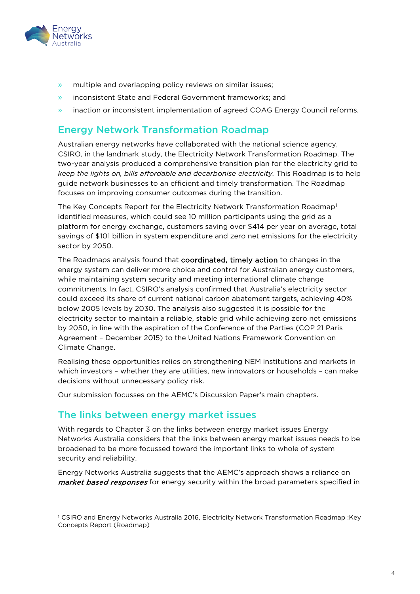

l

- » multiple and overlapping policy reviews on similar issues;
- » inconsistent State and Federal Government frameworks; and
- » inaction or inconsistent implementation of agreed COAG Energy Council reforms.

## <span id="page-3-0"></span>Energy Network Transformation Roadmap

Australian energy networks have collaborated with the national science agency, CSIRO, in the landmark study, the Electricity Network Transformation Roadmap. The two-year analysis produced a comprehensive transition plan for the electricity grid to *keep the lights on, bills affordable and decarbonise electricity.* This Roadmap is to help guide network businesses to an efficient and timely transformation. The Roadmap focuses on improving consumer outcomes during the transition.

The Key Concepts Report for the Electricity Network Transformation Roadmap<sup>[1](#page-3-2)</sup> identified measures, which could see 10 million participants using the grid as a platform for energy exchange, customers saving over \$414 per year on average, total savings of \$101 billion in system expenditure and zero net emissions for the electricity sector by 2050.

The Roadmaps analysis found that coordinated, timely action to changes in the energy system can deliver more choice and control for Australian energy customers, while maintaining system security and meeting international climate change commitments. In fact, CSIRO's analysis confirmed that Australia's electricity sector could exceed its share of current national carbon abatement targets, achieving 40% below 2005 levels by 2030. The analysis also suggested it is possible for the electricity sector to maintain a reliable, stable grid while achieving zero net emissions by 2050, in line with the aspiration of the Conference of the Parties (COP 21 Paris Agreement – December 2015) to the United Nations Framework Convention on Climate Change.

Realising these opportunities relies on strengthening NEM institutions and markets in which investors – whether they are utilities, new innovators or households – can make decisions without unnecessary policy risk.

Our submission focusses on the AEMC's Discussion Paper's main chapters.

## <span id="page-3-1"></span>The links between energy market issues

With regards to Chapter 3 on the links between energy market issues Energy Networks Australia considers that the links between energy market issues needs to be broadened to be more focussed toward the important links to whole of system security and reliability.

Energy Networks Australia suggests that the AEMC's approach shows a reliance on market based responses for energy security within the broad parameters specified in

<span id="page-3-2"></span><sup>1</sup> CSIRO and Energy Networks Australia 2016, Electricity Network Transformation Roadmap :Key Concepts Report (Roadmap)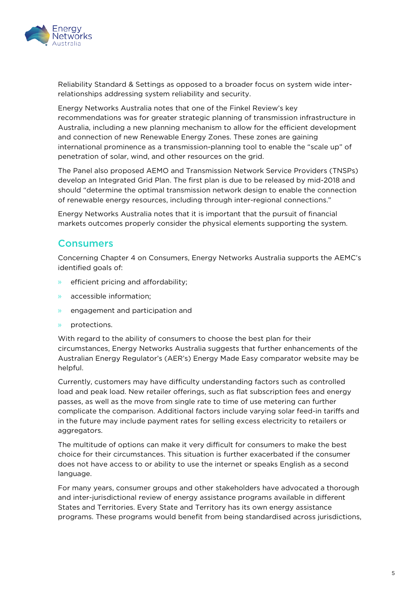

Reliability Standard & Settings as opposed to a broader focus on system wide interrelationships addressing system reliability and security.

Energy Networks Australia notes that one of the Finkel Review's key recommendations was for greater strategic planning of transmission infrastructure in Australia, including a new planning mechanism to allow for the efficient development and connection of new Renewable Energy Zones. These zones are gaining international prominence as a transmission-planning tool to enable the "scale up" of penetration of solar, wind, and other resources on the grid.

The Panel also proposed AEMO and Transmission Network Service Providers (TNSPs) develop an Integrated Grid Plan. The first plan is due to be released by mid-2018 and should "determine the optimal transmission network design to enable the connection of renewable energy resources, including through inter-regional connections."

Energy Networks Australia notes that it is important that the pursuit of financial markets outcomes properly consider the physical elements supporting the system.

## <span id="page-4-0"></span>Consumers

Concerning Chapter 4 on Consumers, Energy Networks Australia supports the AEMC's identified goals of:

- » efficient pricing and affordability;
- » accessible information;
- » engagement and participation and
- » protections.

With regard to the ability of consumers to choose the best plan for their circumstances, Energy Networks Australia suggests that further enhancements of the Australian Energy Regulator's (AER's) Energy Made Easy comparator website may be helpful.

Currently, customers may have difficulty understanding factors such as controlled load and peak load. New retailer offerings, such as flat subscription fees and energy passes, as well as the move from single rate to time of use metering can further complicate the comparison. Additional factors include varying solar feed-in tariffs and in the future may include payment rates for selling excess electricity to retailers or aggregators.

The multitude of options can make it very difficult for consumers to make the best choice for their circumstances. This situation is further exacerbated if the consumer does not have access to or ability to use the internet or speaks English as a second language.

For many years, consumer groups and other stakeholders have advocated a thorough and inter-jurisdictional review of energy assistance programs available in different States and Territories. Every State and Territory has its own energy assistance programs. These programs would benefit from being standardised across jurisdictions,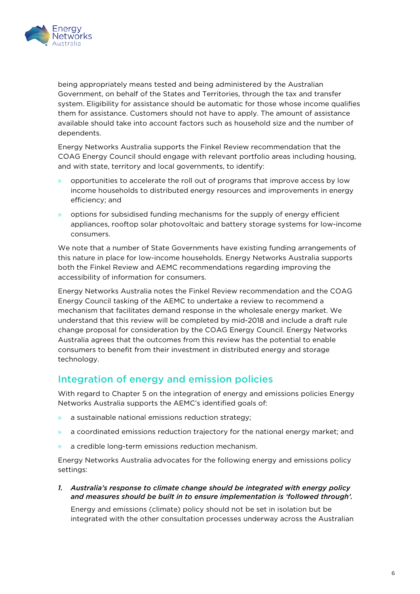

being appropriately means tested and being administered by the Australian Government, on behalf of the States and Territories, through the tax and transfer system. Eligibility for assistance should be automatic for those whose income qualifies them for assistance. Customers should not have to apply. The amount of assistance available should take into account factors such as household size and the number of dependents.

Energy Networks Australia supports the Finkel Review recommendation that the COAG Energy Council should engage with relevant portfolio areas including housing, and with state, territory and local governments, to identify:

- » opportunities to accelerate the roll out of programs that improve access by low income households to distributed energy resources and improvements in energy efficiency; and
- » options for subsidised funding mechanisms for the supply of energy efficient appliances, rooftop solar photovoltaic and battery storage systems for low-income consumers.

We note that a number of State Governments have existing funding arrangements of this nature in place for low-income households. Energy Networks Australia supports both the Finkel Review and AEMC recommendations regarding improving the accessibility of information for consumers.

Energy Networks Australia notes the Finkel Review recommendation and the COAG Energy Council tasking of the AEMC to undertake a review to recommend a mechanism that facilitates demand response in the wholesale energy market. We understand that this review will be completed by mid-2018 and include a draft rule change proposal for consideration by the COAG Energy Council. Energy Networks Australia agrees that the outcomes from this review has the potential to enable consumers to benefit from their investment in distributed energy and storage technology.

## <span id="page-5-0"></span>Integration of energy and emission policies

With regard to Chapter 5 on the integration of energy and emissions policies Energy Networks Australia supports the AEMC's identified goals of:

- » a sustainable national emissions reduction strategy;
- » a coordinated emissions reduction trajectory for the national energy market; and
- » a credible long-term emissions reduction mechanism.

Energy Networks Australia advocates for the following energy and emissions policy settings:

*1. Australia's response to climate change should be integrated with energy policy and measures should be built in to ensure implementation is 'followed through'.* 

Energy and emissions (climate) policy should not be set in isolation but be integrated with the other consultation processes underway across the Australian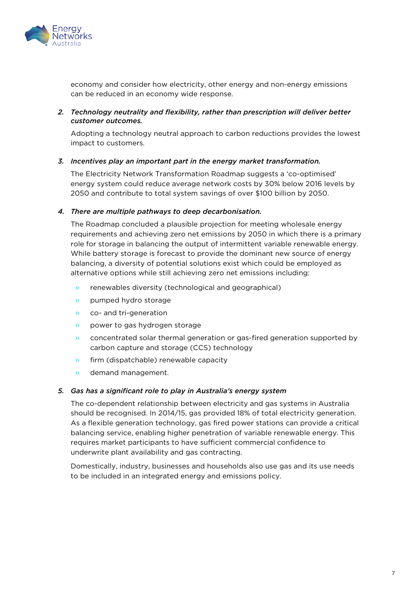

economy and consider how electricity, other energy and non-energy emissions can be reduced in an economy wide response.

#### *2. Technology neutrality and flexibility, rather than prescription will deliver better customer outcomes.*

Adopting a technology neutral approach to carbon reductions provides the lowest impact to customers.

#### *3. Incentives play an important part in the energy market transformation.*

The Electricity Network Transformation Roadmap suggests a 'co-optimised' energy system could reduce average network costs by 30% below 2016 levels by 2050 and contribute to total system savings of over \$100 billion by 2050.

#### *4. There are multiple pathways to deep decarbonisation.*

The Roadmap concluded a plausible projection for meeting wholesale energy requirements and achieving zero net emissions by 2050 in which there is a primary role for storage in balancing the output of intermittent variable renewable energy. While battery storage is forecast to provide the dominant new source of energy balancing, a diversity of potential solutions exist which could be employed as alternative options while still achieving zero net emissions including:

- » renewables diversity (technological and geographical)
- » pumped hydro storage
- » co- and tri-generation
- » power to gas hydrogen storage
- » concentrated solar thermal generation or gas-fired generation supported by carbon capture and storage (CCS) technology
- » firm (dispatchable) renewable capacity
- » demand management.

#### *5. Gas has a significant role to play in Australia's energy system*

The co-dependent relationship between electricity and gas systems in Australia should be recognised. In 2014/15, gas provided 18% of total electricity generation. As a flexible generation technology, gas fired power stations can provide a critical balancing service, enabling higher penetration of variable renewable energy. This requires market participants to have sufficient commercial confidence to underwrite plant availability and gas contracting.

Domestically, industry, businesses and households also use gas and its use needs to be included in an integrated energy and emissions policy.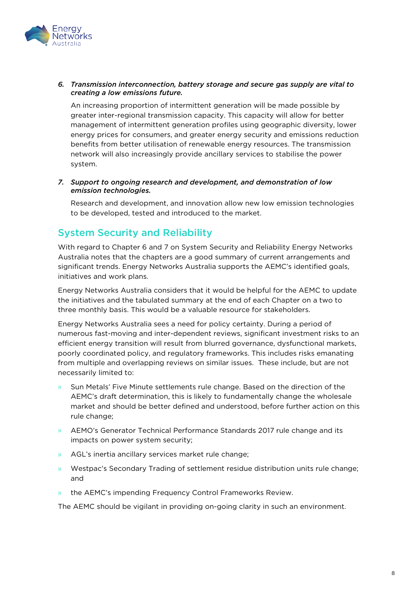

#### *6. Transmission interconnection, battery storage and secure gas supply are vital to creating a low emissions future.*

An increasing proportion of intermittent generation will be made possible by greater inter-regional transmission capacity. This capacity will allow for better management of intermittent generation profiles using geographic diversity, lower energy prices for consumers, and greater energy security and emissions reduction benefits from better utilisation of renewable energy resources. The transmission network will also increasingly provide ancillary services to stabilise the power system.

#### *7. Support to ongoing research and development, and demonstration of low emission technologies.*

Research and development, and innovation allow new low emission technologies to be developed, tested and introduced to the market.

## <span id="page-7-0"></span>System Security and Reliability

With regard to Chapter 6 and 7 on System Security and Reliability Energy Networks Australia notes that the chapters are a good summary of current arrangements and significant trends. Energy Networks Australia supports the AEMC's identified goals, initiatives and work plans.

Energy Networks Australia considers that it would be helpful for the AEMC to update the initiatives and the tabulated summary at the end of each Chapter on a two to three monthly basis. This would be a valuable resource for stakeholders.

Energy Networks Australia sees a need for policy certainty. During a period of numerous fast-moving and inter-dependent reviews, significant investment risks to an efficient energy transition will result from blurred governance, dysfunctional markets, poorly coordinated policy, and regulatory frameworks. This includes risks emanating from multiple and overlapping reviews on similar issues. These include, but are not necessarily limited to:

- Sun Metals' Five Minute settlements rule change. Based on the direction of the AEMC's draft determination, this is likely to fundamentally change the wholesale market and should be better defined and understood, before further action on this rule change;
- » AEMO's Generator Technical Performance Standards 2017 rule change and its impacts on power system security;
- » AGL's inertia ancillary services market rule change;
- » Westpac's Secondary Trading of settlement residue distribution units rule change; and
- » the AEMC's impending Frequency Control Frameworks Review.

The AEMC should be vigilant in providing on-going clarity in such an environment.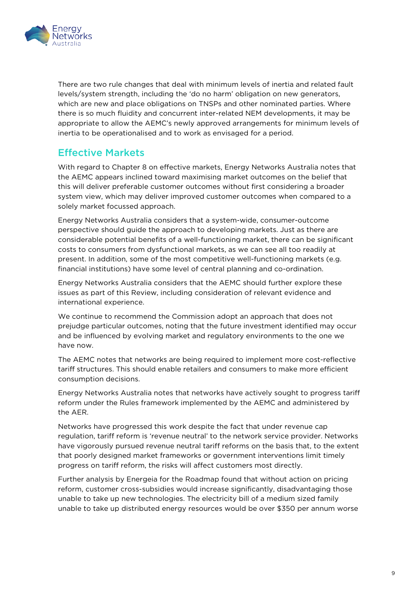

There are two rule changes that deal with minimum levels of inertia and related fault levels/system strength, including the 'do no harm' obligation on new generators, which are new and place obligations on TNSPs and other nominated parties. Where there is so much fluidity and concurrent inter-related NEM developments, it may be appropriate to allow the AEMC's newly approved arrangements for minimum levels of inertia to be operationalised and to work as envisaged for a period.

## <span id="page-8-0"></span>Effective Markets

With regard to Chapter 8 on effective markets, Energy Networks Australia notes that the AEMC appears inclined toward maximising market outcomes on the belief that this will deliver preferable customer outcomes without first considering a broader system view, which may deliver improved customer outcomes when compared to a solely market focussed approach.

Energy Networks Australia considers that a system-wide, consumer-outcome perspective should guide the approach to developing markets. Just as there are considerable potential benefits of a well-functioning market, there can be significant costs to consumers from dysfunctional markets, as we can see all too readily at present. In addition, some of the most competitive well-functioning markets (e.g. financial institutions) have some level of central planning and co-ordination.

Energy Networks Australia considers that the AEMC should further explore these issues as part of this Review, including consideration of relevant evidence and international experience.

We continue to recommend the Commission adopt an approach that does not prejudge particular outcomes, noting that the future investment identified may occur and be influenced by evolving market and regulatory environments to the one we have now.

The AEMC notes that networks are being required to implement more cost-reflective tariff structures. This should enable retailers and consumers to make more efficient consumption decisions.

Energy Networks Australia notes that networks have actively sought to progress tariff reform under the Rules framework implemented by the AEMC and administered by the AER.

Networks have progressed this work despite the fact that under revenue cap regulation, tariff reform is 'revenue neutral' to the network service provider. Networks have vigorously pursued revenue neutral tariff reforms on the basis that, to the extent that poorly designed market frameworks or government interventions limit timely progress on tariff reform, the risks will affect customers most directly.

Further analysis by Energeia for the Roadmap found that without action on pricing reform, customer cross-subsidies would increase significantly, disadvantaging those unable to take up new technologies. The electricity bill of a medium sized family unable to take up distributed energy resources would be over \$350 per annum worse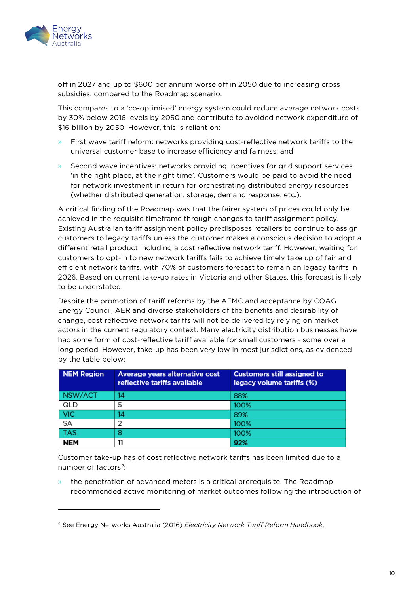

l

off in 2027 and up to \$600 per annum worse off in 2050 due to increasing cross subsidies, compared to the Roadmap scenario.

This compares to a 'co-optimised' energy system could reduce average network costs by 30% below 2016 levels by 2050 and contribute to avoided network expenditure of \$16 billion by 2050. However, this is reliant on:

- » First wave tariff reform: networks providing cost-reflective network tariffs to the universal customer base to increase efficiency and fairness; and
- Second wave incentives: networks providing incentives for grid support services 'in the right place, at the right time'. Customers would be paid to avoid the need for network investment in return for orchestrating distributed energy resources (whether distributed generation, storage, demand response, etc.).

A critical finding of the Roadmap was that the fairer system of prices could only be achieved in the requisite timeframe through changes to tariff assignment policy. Existing Australian tariff assignment policy predisposes retailers to continue to assign customers to legacy tariffs unless the customer makes a conscious decision to adopt a different retail product including a cost reflective network tariff. However, waiting for customers to opt-in to new network tariffs fails to achieve timely take up of fair and efficient network tariffs, with 70% of customers forecast to remain on legacy tariffs in 2026. Based on current take-up rates in Victoria and other States, this forecast is likely to be understated.

Despite the promotion of tariff reforms by the AEMC and acceptance by COAG Energy Council, AER and diverse stakeholders of the benefits and desirability of change, cost reflective network tariffs will not be delivered by relying on market actors in the current regulatory context. Many electricity distribution businesses have had some form of cost-reflective tariff available for small customers - some over a long period. However, take-up has been very low in most jurisdictions, as evidenced by the table below:

| <b>NEM Region</b> | Average years alternative cost<br>reflective tariffs available | <b>Customers still assigned to</b><br>legacy volume tariffs (%) |
|-------------------|----------------------------------------------------------------|-----------------------------------------------------------------|
| NSW/ACT           | 14                                                             | 88%                                                             |
| QLD               | 5                                                              | 100%                                                            |
| <b>VIC</b>        | 14                                                             | 89%                                                             |
| SA                | っ                                                              | 100%                                                            |
| <b>TAS</b>        | 8                                                              | 100%                                                            |
| <b>NEM</b>        | 11                                                             | 92%                                                             |

Customer take-up has of cost reflective network tariffs has been limited due to a number of factors<sup>2</sup>:

the penetration of advanced meters is a critical prerequisite. The Roadmap recommended active monitoring of market outcomes following the introduction of

<span id="page-9-0"></span><sup>2</sup> See Energy Networks Australia (2016) *Electricity Network Tariff Reform Handbook*,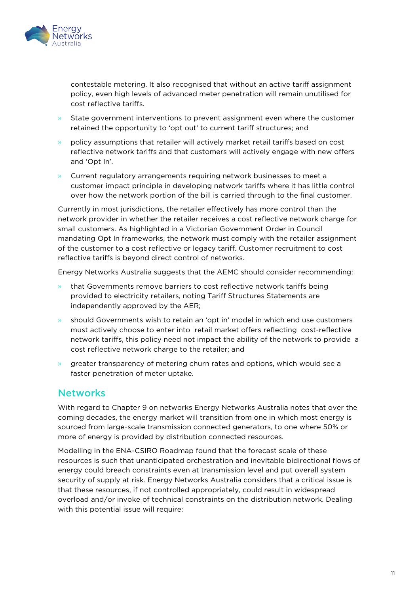

contestable metering. It also recognised that without an active tariff assignment policy, even high levels of advanced meter penetration will remain unutilised for cost reflective tariffs.

- State government interventions to prevent assignment even where the customer retained the opportunity to 'opt out' to current tariff structures; and
- » policy assumptions that retailer will actively market retail tariffs based on cost reflective network tariffs and that customers will actively engage with new offers and 'Opt In'.
- » Current regulatory arrangements requiring network businesses to meet a customer impact principle in developing network tariffs where it has little control over how the network portion of the bill is carried through to the final customer.

Currently in most jurisdictions, the retailer effectively has more control than the network provider in whether the retailer receives a cost reflective network charge for small customers. As highlighted in a Victorian Government Order in Council mandating Opt In frameworks, the network must comply with the retailer assignment of the customer to a cost reflective or legacy tariff. Customer recruitment to cost reflective tariffs is beyond direct control of networks.

Energy Networks Australia suggests that the AEMC should consider recommending:

- » that Governments remove barriers to cost reflective network tariffs being provided to electricity retailers, noting Tariff Structures Statements are independently approved by the AER;
- » should Governments wish to retain an 'opt in' model in which end use customers must actively choose to enter into retail market offers reflecting cost-reflective network tariffs, this policy need not impact the ability of the network to provide a cost reflective network charge to the retailer; and
- » greater transparency of metering churn rates and options, which would see a faster penetration of meter uptake.

### <span id="page-10-0"></span>**Networks**

With regard to Chapter 9 on networks Energy Networks Australia notes that over the coming decades, the energy market will transition from one in which most energy is sourced from large-scale transmission connected generators, to one where 50% or more of energy is provided by distribution connected resources.

Modelling in the ENA-CSIRO Roadmap found that the forecast scale of these resources is such that unanticipated orchestration and inevitable bidirectional flows of energy could breach constraints even at transmission level and put overall system security of supply at risk. Energy Networks Australia considers that a critical issue is that these resources, if not controlled appropriately, could result in widespread overload and/or invoke of technical constraints on the distribution network. Dealing with this potential issue will require: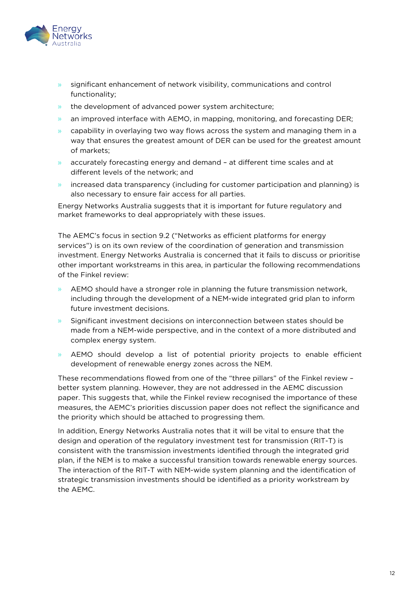

- » significant enhancement of network visibility, communications and control functionality;
- » the development of advanced power system architecture;
- » an improved interface with AEMO, in mapping, monitoring, and forecasting DER;
- $\rightarrow$  capability in overlaying two way flows across the system and managing them in a way that ensures the greatest amount of DER can be used for the greatest amount of markets;
- » accurately forecasting energy and demand at different time scales and at different levels of the network; and
- » increased data transparency (including for customer participation and planning) is also necessary to ensure fair access for all parties.

Energy Networks Australia suggests that it is important for future regulatory and market frameworks to deal appropriately with these issues.

The AEMC's focus in section 9.2 ("Networks as efficient platforms for energy services") is on its own review of the coordination of generation and transmission investment. Energy Networks Australia is concerned that it fails to discuss or prioritise other important workstreams in this area, in particular the following recommendations of the Finkel review:

- » AEMO should have a stronger role in planning the future transmission network, including through the development of a NEM-wide integrated grid plan to inform future investment decisions.
- » Significant investment decisions on interconnection between states should be made from a NEM-wide perspective, and in the context of a more distributed and complex energy system.
- » AEMO should develop a list of potential priority projects to enable efficient development of renewable energy zones across the NEM.

These recommendations flowed from one of the "three pillars" of the Finkel review – better system planning. However, they are not addressed in the AEMC discussion paper. This suggests that, while the Finkel review recognised the importance of these measures, the AEMC's priorities discussion paper does not reflect the significance and the priority which should be attached to progressing them.

In addition, Energy Networks Australia notes that it will be vital to ensure that the design and operation of the regulatory investment test for transmission (RIT-T) is consistent with the transmission investments identified through the integrated grid plan, if the NEM is to make a successful transition towards renewable energy sources. The interaction of the RIT-T with NEM-wide system planning and the identification of strategic transmission investments should be identified as a priority workstream by the AEMC.